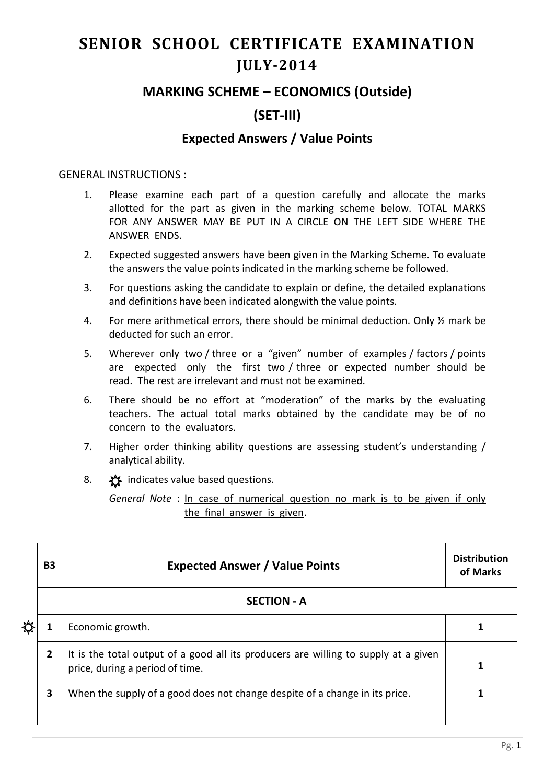# **SENIOR SCHOOL CERTIFICATE EXAMINATION JULY-2014**

### **MARKING SCHEME – ECONOMICS (Outside)**

## **(SET-III)**

#### **Expected Answers / Value Points**

#### GENERAL INSTRUCTIONS :

- 1. Please examine each part of a question carefully and allocate the marks allotted for the part as given in the marking scheme below. TOTAL MARKS FOR ANY ANSWER MAY BE PUT IN A CIRCLE ON THE LEFT SIDE WHERE THE ANSWER ENDS.
- 2. Expected suggested answers have been given in the Marking Scheme. To evaluate the answers the value points indicated in the marking scheme be followed.
- 3. For questions asking the candidate to explain or define, the detailed explanations and definitions have been indicated alongwith the value points.
- 4. For mere arithmetical errors, there should be minimal deduction. Only ½ mark be deducted for such an error.
- 5. Wherever only two / three or a "given" number of examples / factors / points are expected only the first two / three or expected number should be read. The rest are irrelevant and must not be examined.
- 6. There should be no effort at "moderation" of the marks by the evaluating teachers. The actual total marks obtained by the candidate may be of no concern to the evaluators.
- 7. Higher order thinking ability questions are assessing student's understanding / analytical ability.
- 8.  $\frac{1}{2}$  indicates value based questions.

*General Note* : In case of numerical question no mark is to be given if only the final answer is given.

|  | <b>B3</b>          | <b>Expected Answer / Value Points</b>                                                                                  | <b>Distribution</b><br>of Marks |  |  |  |  |
|--|--------------------|------------------------------------------------------------------------------------------------------------------------|---------------------------------|--|--|--|--|
|  | <b>SECTION - A</b> |                                                                                                                        |                                 |  |  |  |  |
|  |                    | Economic growth.                                                                                                       |                                 |  |  |  |  |
|  | $\mathbf{2}$       | It is the total output of a good all its producers are willing to supply at a given<br>price, during a period of time. |                                 |  |  |  |  |
|  | 3                  | When the supply of a good does not change despite of a change in its price.                                            |                                 |  |  |  |  |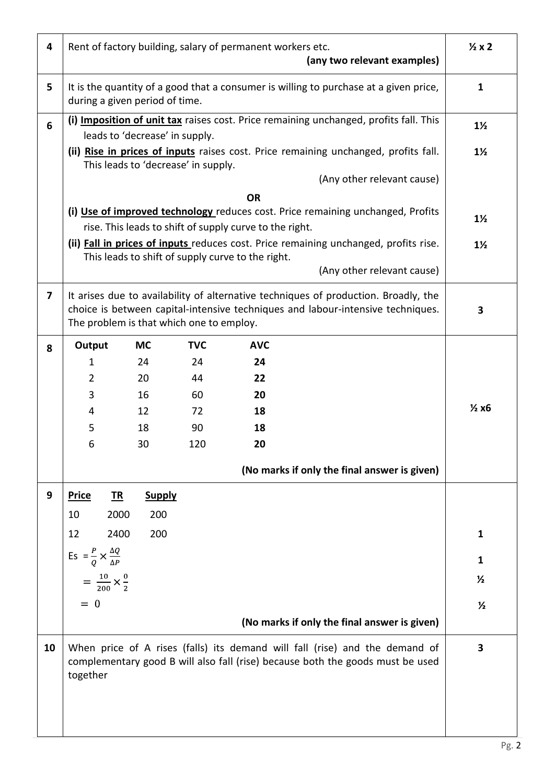| 4              | Rent of factory building, salary of permanent workers etc.<br>(any two relevant examples)                                                                                                                          |                                                                                       |                |                                                   |                                                                                      | $\frac{1}{2}x2$ |  |  |
|----------------|--------------------------------------------------------------------------------------------------------------------------------------------------------------------------------------------------------------------|---------------------------------------------------------------------------------------|----------------|---------------------------------------------------|--------------------------------------------------------------------------------------|-----------------|--|--|
| 5              | It is the quantity of a good that a consumer is willing to purchase at a given price,<br>during a given period of time.                                                                                            | $\mathbf{1}$                                                                          |                |                                                   |                                                                                      |                 |  |  |
| 6              | leads to 'decrease' in supply.                                                                                                                                                                                     | (i) Imposition of unit tax raises cost. Price remaining unchanged, profits fall. This | $1\frac{1}{2}$ |                                                   |                                                                                      |                 |  |  |
|                |                                                                                                                                                                                                                    | This leads to 'decrease' in supply.                                                   |                |                                                   | (ii) Rise in prices of inputs raises cost. Price remaining unchanged, profits fall.  | $1\frac{1}{2}$  |  |  |
|                |                                                                                                                                                                                                                    |                                                                                       |                |                                                   | (Any other relevant cause)                                                           |                 |  |  |
|                | <b>OR</b>                                                                                                                                                                                                          |                                                                                       |                |                                                   |                                                                                      |                 |  |  |
|                | (i) Use of improved technology reduces cost. Price remaining unchanged, Profits<br>rise. This leads to shift of supply curve to the right.                                                                         |                                                                                       |                |                                                   |                                                                                      |                 |  |  |
|                |                                                                                                                                                                                                                    |                                                                                       |                |                                                   | (ii) Fall in prices of inputs reduces cost. Price remaining unchanged, profits rise. | $1\frac{1}{2}$  |  |  |
|                |                                                                                                                                                                                                                    |                                                                                       |                | This leads to shift of supply curve to the right. | (Any other relevant cause)                                                           |                 |  |  |
| $\overline{7}$ | It arises due to availability of alternative techniques of production. Broadly, the<br>choice is between capital-intensive techniques and labour-intensive techniques.<br>The problem is that which one to employ. | 3                                                                                     |                |                                                   |                                                                                      |                 |  |  |
| 8              | Output                                                                                                                                                                                                             | <b>MC</b>                                                                             | <b>TVC</b>     | <b>AVC</b>                                        |                                                                                      |                 |  |  |
|                | $\mathbf{1}$                                                                                                                                                                                                       | 24                                                                                    | 24             | 24                                                |                                                                                      |                 |  |  |
|                | 2                                                                                                                                                                                                                  | 20                                                                                    | 44             | 22                                                |                                                                                      |                 |  |  |
|                | 3                                                                                                                                                                                                                  | 16                                                                                    | 60             | 20                                                |                                                                                      |                 |  |  |
|                | 4                                                                                                                                                                                                                  | 12                                                                                    | 72             | 18                                                |                                                                                      | $\frac{1}{2}x6$ |  |  |
|                | 5                                                                                                                                                                                                                  | 18                                                                                    | 90             | 18                                                |                                                                                      |                 |  |  |
|                | 6                                                                                                                                                                                                                  | 30                                                                                    | 120            | 20                                                |                                                                                      |                 |  |  |
|                |                                                                                                                                                                                                                    |                                                                                       |                |                                                   | (No marks if only the final answer is given)                                         |                 |  |  |
| 9              | <u>TR</u><br><b>Price</b>                                                                                                                                                                                          | <b>Supply</b>                                                                         |                |                                                   |                                                                                      |                 |  |  |
|                | 10                                                                                                                                                                                                                 | 2000<br>200                                                                           |                |                                                   |                                                                                      |                 |  |  |
|                | 12                                                                                                                                                                                                                 | 2400<br>200                                                                           |                |                                                   |                                                                                      | 1               |  |  |
|                | Es = $\frac{P}{Q} \times \frac{\Delta Q}{\Delta P}$                                                                                                                                                                |                                                                                       |                |                                                   |                                                                                      | 1               |  |  |
|                |                                                                                                                                                                                                                    |                                                                                       |                |                                                   |                                                                                      | $\frac{1}{2}$   |  |  |
|                | $=\frac{10}{200}\times\frac{0}{2}$                                                                                                                                                                                 |                                                                                       |                |                                                   |                                                                                      |                 |  |  |
|                | $= 0$                                                                                                                                                                                                              |                                                                                       |                |                                                   |                                                                                      | $\frac{1}{2}$   |  |  |
|                |                                                                                                                                                                                                                    |                                                                                       |                |                                                   | (No marks if only the final answer is given)                                         |                 |  |  |
| 10             | When price of A rises (falls) its demand will fall (rise) and the demand of<br>complementary good B will also fall (rise) because both the goods must be used<br>together                                          |                                                                                       |                |                                                   |                                                                                      |                 |  |  |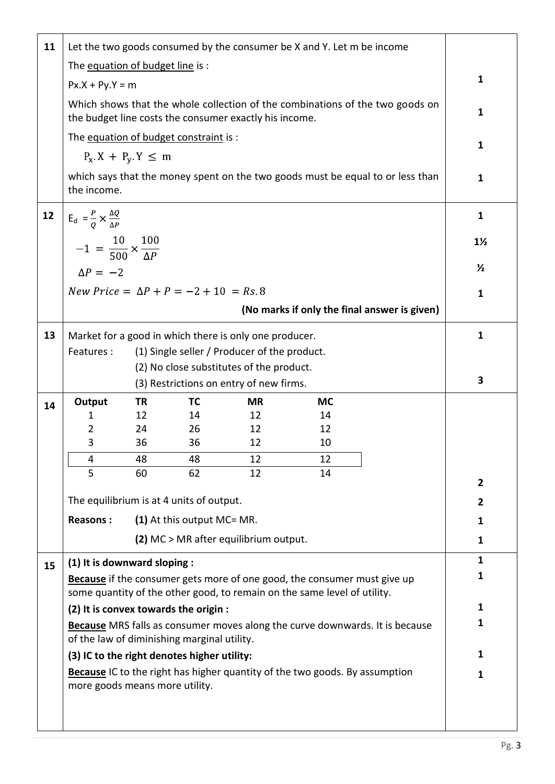| 11 | Let the two goods consumed by the consumer be X and Y. Let m be income                                              |           |                            |                                                        |                                                                                                                                                             |                                                                                |                |  |
|----|---------------------------------------------------------------------------------------------------------------------|-----------|----------------------------|--------------------------------------------------------|-------------------------------------------------------------------------------------------------------------------------------------------------------------|--------------------------------------------------------------------------------|----------------|--|
|    | The equation of budget line is:                                                                                     |           |                            |                                                        |                                                                                                                                                             |                                                                                |                |  |
|    | $Px.X + Py.Y = m$                                                                                                   |           |                            |                                                        |                                                                                                                                                             |                                                                                | $\mathbf{1}$   |  |
|    |                                                                                                                     |           |                            |                                                        |                                                                                                                                                             | Which shows that the whole collection of the combinations of the two goods on  |                |  |
|    |                                                                                                                     |           |                            | the budget line costs the consumer exactly his income. |                                                                                                                                                             |                                                                                | $\mathbf{1}$   |  |
|    | The equation of budget constraint is :                                                                              |           |                            |                                                        |                                                                                                                                                             |                                                                                | 1              |  |
|    | $P_X$ X + $P_V$ Y $\leq$ m                                                                                          |           |                            |                                                        |                                                                                                                                                             |                                                                                |                |  |
|    |                                                                                                                     |           |                            |                                                        |                                                                                                                                                             | which says that the money spent on the two goods must be equal to or less than | 1              |  |
|    | the income.                                                                                                         |           |                            |                                                        |                                                                                                                                                             |                                                                                |                |  |
| 12 | $E_d = \frac{P}{Q} \times \frac{\Delta Q}{\Delta P}$                                                                |           |                            |                                                        |                                                                                                                                                             |                                                                                | $\mathbf{1}$   |  |
|    |                                                                                                                     |           |                            |                                                        |                                                                                                                                                             |                                                                                | $1\frac{1}{2}$ |  |
|    | $-1 = \frac{10}{500} \times \frac{100}{\Delta P}$                                                                   |           |                            |                                                        |                                                                                                                                                             |                                                                                |                |  |
|    | $\Delta P = -2$                                                                                                     |           |                            |                                                        |                                                                                                                                                             |                                                                                | $\frac{1}{2}$  |  |
|    | New Price = $\Delta P + P = -2 + 10 = Rs$ 8                                                                         |           |                            |                                                        |                                                                                                                                                             |                                                                                | 1              |  |
|    |                                                                                                                     |           |                            |                                                        |                                                                                                                                                             | (No marks if only the final answer is given)                                   |                |  |
| 13 |                                                                                                                     |           |                            |                                                        |                                                                                                                                                             |                                                                                | $\mathbf{1}$   |  |
|    | Market for a good in which there is only one producer.<br>Features:<br>(1) Single seller / Producer of the product. |           |                            |                                                        |                                                                                                                                                             |                                                                                |                |  |
|    |                                                                                                                     |           |                            | (2) No close substitutes of the product.               |                                                                                                                                                             |                                                                                |                |  |
|    |                                                                                                                     |           |                            | (3) Restrictions on entry of new firms.                |                                                                                                                                                             |                                                                                | 3              |  |
| 14 | Output                                                                                                              | <b>TR</b> | <b>TC</b>                  | <b>MR</b>                                              | <b>MC</b>                                                                                                                                                   |                                                                                |                |  |
|    | 1                                                                                                                   | 12        | 14                         | 12                                                     | 14                                                                                                                                                          |                                                                                |                |  |
|    | $\overline{2}$                                                                                                      | 24        | 26                         | 12                                                     | 12                                                                                                                                                          |                                                                                |                |  |
|    | 3                                                                                                                   | 36        | 36                         | 12                                                     | 10                                                                                                                                                          |                                                                                |                |  |
|    | 4<br>5                                                                                                              | 48<br>60  | 48<br>62                   | 12<br>12                                               | 12<br>14                                                                                                                                                    |                                                                                |                |  |
|    |                                                                                                                     |           |                            |                                                        |                                                                                                                                                             |                                                                                | $\overline{2}$ |  |
|    | The equilibrium is at 4 units of output.                                                                            |           |                            |                                                        |                                                                                                                                                             |                                                                                | $\overline{2}$ |  |
|    | <b>Reasons:</b>                                                                                                     |           | (1) At this output MC= MR. |                                                        |                                                                                                                                                             |                                                                                | 1              |  |
|    |                                                                                                                     |           |                            | (2) MC > MR after equilibrium output.                  |                                                                                                                                                             |                                                                                | 1              |  |
| 15 | (1) It is downward sloping :                                                                                        |           |                            |                                                        |                                                                                                                                                             |                                                                                |                |  |
|    |                                                                                                                     |           |                            |                                                        |                                                                                                                                                             |                                                                                | $\mathbf{1}$   |  |
|    |                                                                                                                     |           |                            |                                                        |                                                                                                                                                             |                                                                                | 1              |  |
|    |                                                                                                                     |           |                            |                                                        | <b>Because</b> if the consumer gets more of one good, the consumer must give up<br>some quantity of the other good, to remain on the same level of utility. |                                                                                |                |  |
|    | (2) It is convex towards the origin :                                                                               |           |                            |                                                        |                                                                                                                                                             |                                                                                | 1              |  |
|    |                                                                                                                     |           |                            |                                                        |                                                                                                                                                             | Because MRS falls as consumer moves along the curve downwards. It is because   | 1              |  |
|    | of the law of diminishing marginal utility.                                                                         |           |                            |                                                        |                                                                                                                                                             |                                                                                |                |  |
|    | (3) IC to the right denotes higher utility:                                                                         |           |                            |                                                        |                                                                                                                                                             |                                                                                | 1              |  |
|    | more goods means more utility.                                                                                      |           |                            |                                                        | Because IC to the right has higher quantity of the two goods. By assumption                                                                                 |                                                                                | 1              |  |
|    |                                                                                                                     |           |                            |                                                        |                                                                                                                                                             |                                                                                |                |  |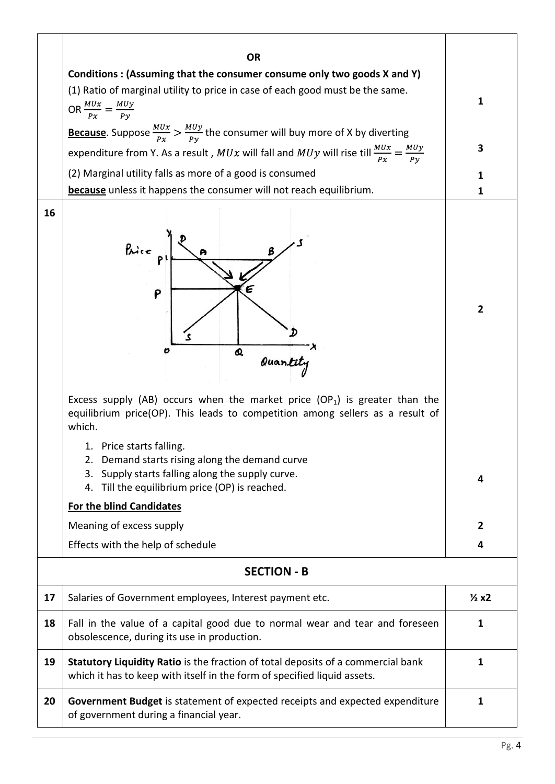|    | <b>OR</b>                                                                                                                                                                                                                                                                                                                                                                                                                                                             |                |  |  |  |  |  |
|----|-----------------------------------------------------------------------------------------------------------------------------------------------------------------------------------------------------------------------------------------------------------------------------------------------------------------------------------------------------------------------------------------------------------------------------------------------------------------------|----------------|--|--|--|--|--|
|    | Conditions: (Assuming that the consumer consume only two goods X and Y)<br>(1) Ratio of marginal utility to price in case of each good must be the same.<br>OR $\frac{MUx}{Px} = \frac{MUy}{Py}$                                                                                                                                                                                                                                                                      | 1              |  |  |  |  |  |
|    | <b>Because</b> . Suppose $\frac{M U x}{P x} > \frac{M U y}{P y}$ the consumer will buy more of X by diverting<br>expenditure from Y. As a result, $MUx$ will fall and $MUy$ will rise till $\frac{MUx}{Px} = \frac{MUy}{Py}$                                                                                                                                                                                                                                          | 3              |  |  |  |  |  |
|    | (2) Marginal utility falls as more of a good is consumed<br><b>because</b> unless it happens the consumer will not reach equilibrium.                                                                                                                                                                                                                                                                                                                                 | 1<br>1         |  |  |  |  |  |
| 16 | Price p<br>P<br>Q<br>Quantity<br>O                                                                                                                                                                                                                                                                                                                                                                                                                                    | $\overline{2}$ |  |  |  |  |  |
|    | Excess supply (AB) occurs when the market price $OP_1$ ) is greater than the<br>equilibrium price(OP). This leads to competition among sellers as a result of<br>which.<br>1. Price starts falling.<br>2. Demand starts rising along the demand curve<br>Supply starts falling along the supply curve.<br>3.<br>Till the equilibrium price (OP) is reached.<br>4.<br><b>For the blind Candidates</b><br>Meaning of excess supply<br>Effects with the help of schedule | 4<br>2<br>4    |  |  |  |  |  |
|    | <b>SECTION - B</b>                                                                                                                                                                                                                                                                                                                                                                                                                                                    |                |  |  |  |  |  |
| 17 | Salaries of Government employees, Interest payment etc.                                                                                                                                                                                                                                                                                                                                                                                                               |                |  |  |  |  |  |
| 18 | Fall in the value of a capital good due to normal wear and tear and foreseen<br>obsolescence, during its use in production.                                                                                                                                                                                                                                                                                                                                           |                |  |  |  |  |  |
| 19 | Statutory Liquidity Ratio is the fraction of total deposits of a commercial bank<br>which it has to keep with itself in the form of specified liquid assets.                                                                                                                                                                                                                                                                                                          |                |  |  |  |  |  |
| 20 | Government Budget is statement of expected receipts and expected expenditure<br>of government during a financial year.                                                                                                                                                                                                                                                                                                                                                |                |  |  |  |  |  |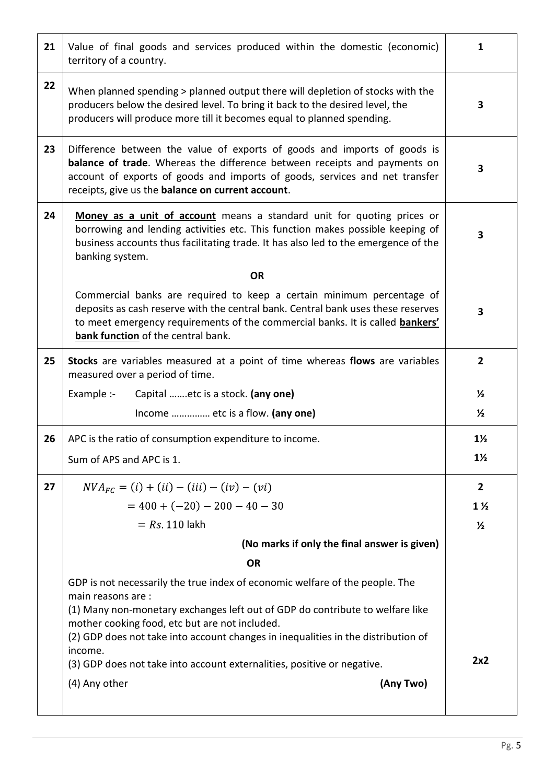| 21 | Value of final goods and services produced within the domestic (economic)<br>territory of a country.                                                                                                                                                                                             | 1              |  |  |  |  |
|----|--------------------------------------------------------------------------------------------------------------------------------------------------------------------------------------------------------------------------------------------------------------------------------------------------|----------------|--|--|--|--|
| 22 | When planned spending > planned output there will depletion of stocks with the<br>producers below the desired level. To bring it back to the desired level, the<br>producers will produce more till it becomes equal to planned spending.                                                        |                |  |  |  |  |
| 23 | Difference between the value of exports of goods and imports of goods is<br><b>balance of trade.</b> Whereas the difference between receipts and payments on<br>account of exports of goods and imports of goods, services and net transfer<br>receipts, give us the balance on current account. |                |  |  |  |  |
| 24 | Money as a unit of account means a standard unit for quoting prices or<br>borrowing and lending activities etc. This function makes possible keeping of<br>business accounts thus facilitating trade. It has also led to the emergence of the<br>banking system.                                 | 3              |  |  |  |  |
|    | <b>OR</b>                                                                                                                                                                                                                                                                                        |                |  |  |  |  |
|    | Commercial banks are required to keep a certain minimum percentage of<br>deposits as cash reserve with the central bank. Central bank uses these reserves<br>to meet emergency requirements of the commercial banks. It is called <b>bankers'</b><br>bank function of the central bank.          | 3              |  |  |  |  |
| 25 | Stocks are variables measured at a point of time whereas flows are variables<br>measured over a period of time.                                                                                                                                                                                  | $\mathbf{2}$   |  |  |  |  |
|    | Example :-<br>Capital etc is a stock. (any one)                                                                                                                                                                                                                                                  | $\frac{1}{2}$  |  |  |  |  |
|    | Income  etc is a flow. (any one)                                                                                                                                                                                                                                                                 | $\frac{1}{2}$  |  |  |  |  |
| 26 | APC is the ratio of consumption expenditure to income.                                                                                                                                                                                                                                           | $1\frac{1}{2}$ |  |  |  |  |
|    | Sum of APS and APC is 1.                                                                                                                                                                                                                                                                         | $1\frac{1}{2}$ |  |  |  |  |
| 27 | $NVA_{FC} = (i) + (ii) - (iii) - (iv) - (vi)$                                                                                                                                                                                                                                                    | $\mathbf{2}$   |  |  |  |  |
|    | $= 400 + (-20) - 200 - 40 - 30$                                                                                                                                                                                                                                                                  | $1\frac{1}{2}$ |  |  |  |  |
|    | $= Rs 110$ lakh                                                                                                                                                                                                                                                                                  | $\frac{1}{2}$  |  |  |  |  |
|    | (No marks if only the final answer is given)                                                                                                                                                                                                                                                     |                |  |  |  |  |
|    | <b>OR</b>                                                                                                                                                                                                                                                                                        |                |  |  |  |  |
|    | GDP is not necessarily the true index of economic welfare of the people. The<br>main reasons are:                                                                                                                                                                                                |                |  |  |  |  |
|    | (1) Many non-monetary exchanges left out of GDP do contribute to welfare like<br>mother cooking food, etc but are not included.<br>(2) GDP does not take into account changes in inequalities in the distribution of                                                                             |                |  |  |  |  |
|    | income.                                                                                                                                                                                                                                                                                          | 2x2            |  |  |  |  |
|    | (3) GDP does not take into account externalities, positive or negative.                                                                                                                                                                                                                          |                |  |  |  |  |
|    | (4) Any other<br>(Any Two)                                                                                                                                                                                                                                                                       |                |  |  |  |  |